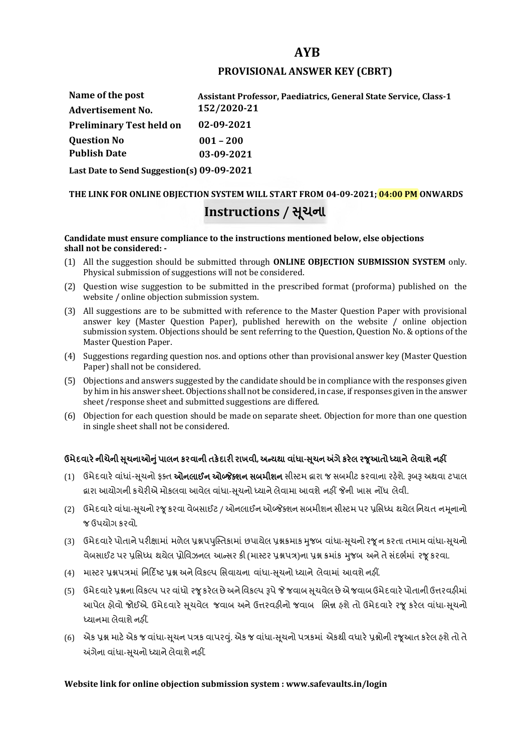## **AYB**

### **PROVISIONAL ANSWER KEY (CBRT)**

| Name of the post                           | <b>Assistant Professor, Paediatrics, General State Service, Class-1</b> |  |
|--------------------------------------------|-------------------------------------------------------------------------|--|
| <b>Advertisement No.</b>                   | 152/2020-21                                                             |  |
| <b>Preliminary Test held on</b>            | 02-09-2021                                                              |  |
| <b>Question No</b>                         | $001 - 200$                                                             |  |
| <b>Publish Date</b>                        | 03-09-2021                                                              |  |
| Last Date to Send Suggestion(s) 09-09-2021 |                                                                         |  |

# **THE LINK FOR ONLINE OBJECTION SYSTEM WILL START FROM 04-09-2021; 04:00 PM ONWARDS Instructions / Ʌચના ૂ**

#### **Candidate must ensure compliance to the instructions mentioned below, else objections shall not be considered: -**

- (1) All the suggestion should be submitted through **ONLINE OBJECTION SUBMISSION SYSTEM** only. Physical submission of suggestions will not be considered.
- (2) Question wise suggestion to be submitted in the prescribed format (proforma) published on the website / online objection submission system.
- (3) All suggestions are to be submitted with reference to the Master Question Paper with provisional answer key (Master Question Paper), published herewith on the website / online objection submission system. Objections should be sent referring to the Question, Question No. & options of the Master Question Paper.
- (4) Suggestions regarding question nos. and options other than provisional answer key (Master Question Paper) shall not be considered.
- (5) Objections and answers suggested by the candidate should be in compliance with the responses given by him in his answer sheet. Objections shall not be considered, in case, if responses given in the answer sheet /response sheet and submitted suggestions are differed.
- (6) Objection for each question should be made on separate sheet. Objection for more than one question in single sheet shall not be considered.

## **ઉમેદવાર°નીચેની Ʌ ૂચનાઓȵુંપાલન કરવાની તક°દાર રાખવી, અƛયથા વા ંધા-Ʌ ૂચન Ӕગેકર°લ રȩૂઆતો ƚયાને લેવાશેનહӄ**

- (1) ઉમેદવારે વાંધાં-સુચનો ફક્ત **ઓનલાઈન ઓબ્જેક્શન સબમીશન** સીસ્ટમ હ્રારા જ સબમીટ કરવાના રહેશે. રૂબરૂ અથવા ટપાલ હ્રારા આયોગની કચેરીએ મોકલવા આવેલ વાંધા-સૂચનો ધ્યાને લેવામા આવશે નહીં જેની ખાસ નોંધ લેવી.
- (2) ઉમેદવારે વાંધા-સચનો રજ કરવા વેબસાઈટ / ઓનલાઈન ઓબ્જેક્શન સબમીશન સીસ્ટમ પર પ્રસિધ્ધ થયેલ નિયત નમનાનો જ ઉપયોગ કરવો.
- (3) ઉમેદવારે પોતાને પરીક્ષામાં મળેલ પ્રશ્નપપુસ્તિકામાં છપાયેલ પ્રશ્નક્રમાક મુજબ વાંધા-સૂચનો રજૂન કરતા તમામ વાંધા-સૂચનો વેબસાઈટ પર પ્રસિધ્ધ થયેલ પ્રોવિઝનલ આન્સર કી (માસ્ટર પ્રશ્નપત્ર)ના પ્રશ્ન ક્રમાંક મજબ અને તે સંદર્ભમાં ૨જ કરવા.
- (4) માસ્ટર પ્રશ્નપત્રમાં નિર્દિષ્ટ પ્રશ્ન અને વિકલ્પ સિવાયના વાંધા-સચનો ધ્યાને લેવામાં આવશે નહીં.
- (5) ઉમેદવારે પ્રશ્નના વિકલ્પ પર વાંધો રજૂ કરેલ છે અને વિકલ્પ રૂપે જે જવાબ સુચવેલ છે એ જવાબ ઉમેદવારે પોતાની ઉત્તરવહીમાં આપેલ હોવો જોઈએ. ઉમેદવારે સૂચવેલ જવાબ અને ઉત્તરવહીનો જવાબ ભિન્ન હશે તો ઉમેદવારે રજૂ કરેલ વાંધા-સૂચનો ધ્યાનમા લેવાશે નહીં.
- (6) એક પ્રશ્ન માટે એક જ વાંધા-સૂચન પત્રક વાપરવું. એક જ વાંધા-સૂચનો પત્રકમાં એકથી વધારે પ્રશ્નોની રજૂઆત કરેલ હશે તો તે અંગેના વાંધા-સુચનો ધ્યાને લેવાશે નહીં.

#### **Website link for online objection submission system : www.safevaults.in/login**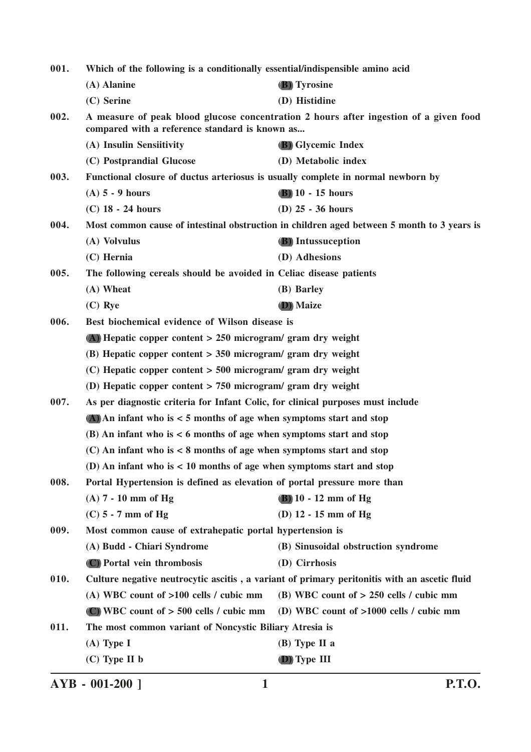| 001.                                                                                                                                            | Which of the following is a conditionally essential/indispensible amino acid     |                                                                                              |
|-------------------------------------------------------------------------------------------------------------------------------------------------|----------------------------------------------------------------------------------|----------------------------------------------------------------------------------------------|
|                                                                                                                                                 | (A) Alanine                                                                      | (B) Tyrosine                                                                                 |
|                                                                                                                                                 | (C) Serine                                                                       | (D) Histidine                                                                                |
| A measure of peak blood glucose concentration 2 hours after ingestion of a given food<br>002.<br>compared with a reference standard is known as |                                                                                  |                                                                                              |
|                                                                                                                                                 | (A) Insulin Sensiitivity                                                         | <b>(B)</b> Glycemic Index                                                                    |
|                                                                                                                                                 | (C) Postprandial Glucose                                                         | (D) Metabolic index                                                                          |
| 003.                                                                                                                                            | Functional closure of ductus arteriosus is usually complete in normal newborn by |                                                                                              |
|                                                                                                                                                 | $(A)$ 5 - 9 hours                                                                | $(B)$ 10 - 15 hours                                                                          |
|                                                                                                                                                 | $(C)$ 18 - 24 hours                                                              | $(D)$ 25 - 36 hours                                                                          |
| 004.                                                                                                                                            |                                                                                  | Most common cause of intestinal obstruction in children aged between 5 month to 3 years is   |
|                                                                                                                                                 | (A) Volvulus                                                                     | <b>(B)</b> Intussuception                                                                    |
|                                                                                                                                                 | $(C)$ Hernia                                                                     | (D) Adhesions                                                                                |
| 005.                                                                                                                                            | The following cereals should be avoided in Celiac disease patients               |                                                                                              |
|                                                                                                                                                 | (A) Wheat                                                                        | (B) Barley                                                                                   |
|                                                                                                                                                 | $(C)$ Rye                                                                        | (D) Maize                                                                                    |
| 006.                                                                                                                                            | Best biochemical evidence of Wilson disease is                                   |                                                                                              |
|                                                                                                                                                 | $(A)$ Hepatic copper content > 250 microgram/ gram dry weight                    |                                                                                              |
|                                                                                                                                                 | $(B)$ Hepatic copper content > 350 microgram/ gram dry weight                    |                                                                                              |
|                                                                                                                                                 | $(C)$ Hepatic copper content > 500 microgram/ gram dry weight                    |                                                                                              |
|                                                                                                                                                 | (D) Hepatic copper content $> 750$ microgram/ gram dry weight                    |                                                                                              |
| 007.                                                                                                                                            | As per diagnostic criteria for Infant Colic, for clinical purposes must include  |                                                                                              |
|                                                                                                                                                 | $(A)$ An infant who is $\lt$ 5 months of age when symptoms start and stop        |                                                                                              |
|                                                                                                                                                 | $(B)$ An infant who is $\lt 6$ months of age when symptoms start and stop        |                                                                                              |
|                                                                                                                                                 | $(C)$ An infant who is $<$ 8 months of age when symptoms start and stop          |                                                                                              |
|                                                                                                                                                 | (D) An infant who is $< 10$ months of age when symptoms start and stop           |                                                                                              |
| 008.                                                                                                                                            | Portal Hypertension is defined as elevation of portal pressure more than         |                                                                                              |
|                                                                                                                                                 | $(A)$ 7 - 10 mm of Hg                                                            | $(B)$ 10 - 12 mm of Hg                                                                       |
|                                                                                                                                                 | $(C)$ 5 - 7 mm of Hg                                                             | (D) $12 - 15$ mm of Hg                                                                       |
| 009.                                                                                                                                            | Most common cause of extrahepatic portal hypertension is                         |                                                                                              |
|                                                                                                                                                 | (A) Budd - Chiari Syndrome                                                       | (B) Sinusoidal obstruction syndrome                                                          |
|                                                                                                                                                 | (C) Portal vein thrombosis                                                       | (D) Cirrhosis                                                                                |
| 010.                                                                                                                                            |                                                                                  | Culture negative neutrocytic ascitis, a variant of primary peritonitis with an ascetic fluid |
|                                                                                                                                                 | (A) WBC count of $>100$ cells / cubic mm                                         | (B) WBC count of $> 250$ cells / cubic mm                                                    |
|                                                                                                                                                 | (C) WBC count of $> 500$ cells / cubic mm                                        | (D) WBC count of $>1000$ cells / cubic mm                                                    |
| 011.                                                                                                                                            | The most common variant of Noncystic Biliary Atresia is                          |                                                                                              |
|                                                                                                                                                 | $(A)$ Type I                                                                     | $(B)$ Type II a                                                                              |
|                                                                                                                                                 | $(C)$ Type II b                                                                  | (D) Type III                                                                                 |

**AYB - 001-200 ] 1 P.T.O.**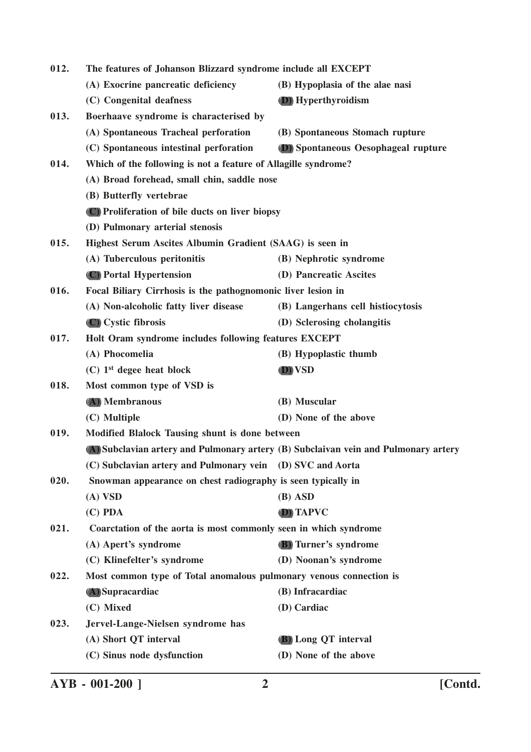| 012. | The features of Johanson Blizzard syndrome include all EXCEPT      |                                                                                     |
|------|--------------------------------------------------------------------|-------------------------------------------------------------------------------------|
|      | (A) Exocrine pancreatic deficiency                                 | (B) Hypoplasia of the alae nasi                                                     |
|      | (C) Congenital deafness                                            | (D) Hyperthyroidism                                                                 |
| 013. | Boerhaave syndrome is characterised by                             |                                                                                     |
|      | (A) Spontaneous Tracheal perforation                               | (B) Spontaneous Stomach rupture                                                     |
|      | (C) Spontaneous intestinal perforation                             | (D) Spontaneous Oesophageal rupture                                                 |
| 014. | Which of the following is not a feature of Allagille syndrome?     |                                                                                     |
|      | (A) Broad forehead, small chin, saddle nose                        |                                                                                     |
|      | (B) Butterfly vertebrae                                            |                                                                                     |
|      | (C) Proliferation of bile ducts on liver biopsy                    |                                                                                     |
|      | (D) Pulmonary arterial stenosis                                    |                                                                                     |
| 015. | Highest Serum Ascites Albumin Gradient (SAAG) is seen in           |                                                                                     |
|      | (A) Tuberculous peritonitis                                        | (B) Nephrotic syndrome                                                              |
|      | (C) Portal Hypertension                                            | (D) Pancreatic Ascites                                                              |
| 016. | Focal Biliary Cirrhosis is the pathognomonic liver lesion in       |                                                                                     |
|      | (A) Non-alcoholic fatty liver disease                              | (B) Langerhans cell histiocytosis                                                   |
|      | (C) Cystic fibrosis                                                | (D) Sclerosing cholangitis                                                          |
| 017. | Holt Oram syndrome includes following features EXCEPT              |                                                                                     |
|      | (A) Phocomelia                                                     | (B) Hypoplastic thumb                                                               |
|      | $(C)$ 1 <sup>st</sup> degee heat block                             | (D) VSD                                                                             |
| 018. | Most common type of VSD is                                         |                                                                                     |
|      | (A) Membranous                                                     | (B) Muscular                                                                        |
|      | (C) Multiple                                                       | (D) None of the above                                                               |
| 019. | Modified Blalock Tausing shunt is done between                     |                                                                                     |
|      |                                                                    | (A) Subclavian artery and Pulmonary artery (B) Subclaivan vein and Pulmonary artery |
|      | (C) Subclavian artery and Pulmonary vein (D) SVC and Aorta         |                                                                                     |
| 020. | Snowman appearance on chest radiography is seen typically in       |                                                                                     |
|      | $(A)$ VSD                                                          | $(B)$ ASD                                                                           |
|      | $(C)$ PDA                                                          | (D) TAPVC                                                                           |
| 021. | Coarctation of the aorta is most commonly seen in which syndrome   |                                                                                     |
|      | (A) Apert's syndrome                                               | (B) Turner's syndrome                                                               |
|      | (C) Klinefelter's syndrome                                         | (D) Noonan's syndrome                                                               |
| 022. | Most common type of Total anomalous pulmonary venous connection is |                                                                                     |
|      | (A) Supracardiac                                                   | (B) Infracardiac                                                                    |
|      | (C) Mixed                                                          | (D) Cardiac                                                                         |
| 023. | Jervel-Lange-Nielsen syndrome has                                  |                                                                                     |
|      | (A) Short QT interval                                              | (B) Long QT interval                                                                |
|      | (C) Sinus node dysfunction                                         | (D) None of the above                                                               |
|      |                                                                    |                                                                                     |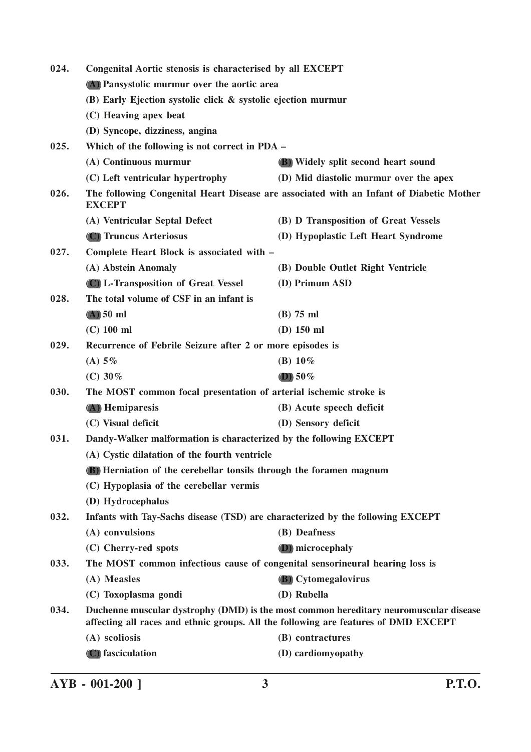| 024. | Congenital Aortic stenosis is characterised by all EXCEPT<br>(A) Pansystolic murmur over the aortic area |                                                                                                                                                                              |
|------|----------------------------------------------------------------------------------------------------------|------------------------------------------------------------------------------------------------------------------------------------------------------------------------------|
|      |                                                                                                          |                                                                                                                                                                              |
|      | (B) Early Ejection systolic click & systolic ejection murmur                                             |                                                                                                                                                                              |
|      | (C) Heaving apex beat                                                                                    |                                                                                                                                                                              |
|      | (D) Syncope, dizziness, angina                                                                           |                                                                                                                                                                              |
| 025. | Which of the following is not correct in PDA –                                                           |                                                                                                                                                                              |
|      | (A) Continuous murmur                                                                                    | (B) Widely split second heart sound                                                                                                                                          |
|      | (C) Left ventricular hypertrophy                                                                         | (D) Mid diastolic murmur over the apex                                                                                                                                       |
| 026. | <b>EXCEPT</b>                                                                                            | The following Congenital Heart Disease are associated with an Infant of Diabetic Mother                                                                                      |
|      | (A) Ventricular Septal Defect                                                                            | (B) D Transposition of Great Vessels                                                                                                                                         |
|      | (C) Truncus Arteriosus                                                                                   | (D) Hypoplastic Left Heart Syndrome                                                                                                                                          |
| 027. | Complete Heart Block is associated with -                                                                |                                                                                                                                                                              |
|      | (A) Abstein Anomaly                                                                                      | (B) Double Outlet Right Ventricle                                                                                                                                            |
|      | (C) L-Transposition of Great Vessel                                                                      | (D) Primum ASD                                                                                                                                                               |
| 028. | The total volume of CSF in an infant is                                                                  |                                                                                                                                                                              |
|      | $(A)$ 50 ml                                                                                              | $(B)$ 75 ml                                                                                                                                                                  |
|      | $(C)$ 100 ml                                                                                             | $(D)$ 150 ml                                                                                                                                                                 |
| 029. | Recurrence of Febrile Seizure after 2 or more episodes is                                                |                                                                                                                                                                              |
|      | (A) $5\%$                                                                                                | (B) $10\%$                                                                                                                                                                   |
|      | (C) $30\%$                                                                                               | $(D)$ 50%                                                                                                                                                                    |
| 030. | The MOST common focal presentation of arterial ischemic stroke is                                        |                                                                                                                                                                              |
|      | (A) Hemiparesis                                                                                          | (B) Acute speech deficit                                                                                                                                                     |
|      | (C) Visual deficit                                                                                       | (D) Sensory deficit                                                                                                                                                          |
| 031. | Dandy-Walker malformation is characterized by the following EXCEPT                                       |                                                                                                                                                                              |
|      | (A) Cystic dilatation of the fourth ventricle                                                            |                                                                                                                                                                              |
|      | (B) Herniation of the cerebellar tonsils through the foramen magnum                                      |                                                                                                                                                                              |
|      | (C) Hypoplasia of the cerebellar vermis                                                                  |                                                                                                                                                                              |
|      | (D) Hydrocephalus                                                                                        |                                                                                                                                                                              |
| 032. | Infants with Tay-Sachs disease (TSD) are characterized by the following EXCEPT                           |                                                                                                                                                                              |
|      | (A) convulsions                                                                                          | (B) Deafness                                                                                                                                                                 |
|      | (C) Cherry-red spots                                                                                     | (D) microcephaly                                                                                                                                                             |
| 033. | The MOST common infectious cause of congenital sensorineural hearing loss is                             |                                                                                                                                                                              |
|      | (A) Measles                                                                                              | <b>(B)</b> Cytomegalovirus                                                                                                                                                   |
|      | (C) Toxoplasma gondi                                                                                     | (D) Rubella                                                                                                                                                                  |
| 034. |                                                                                                          | Duchenne muscular dystrophy (DMD) is the most common hereditary neuromuscular disease<br>affecting all races and ethnic groups. All the following are features of DMD EXCEPT |
|      | (A) scoliosis                                                                                            | (B) contractures                                                                                                                                                             |
|      | (C) fasciculation                                                                                        | (D) cardiomyopathy                                                                                                                                                           |
|      |                                                                                                          |                                                                                                                                                                              |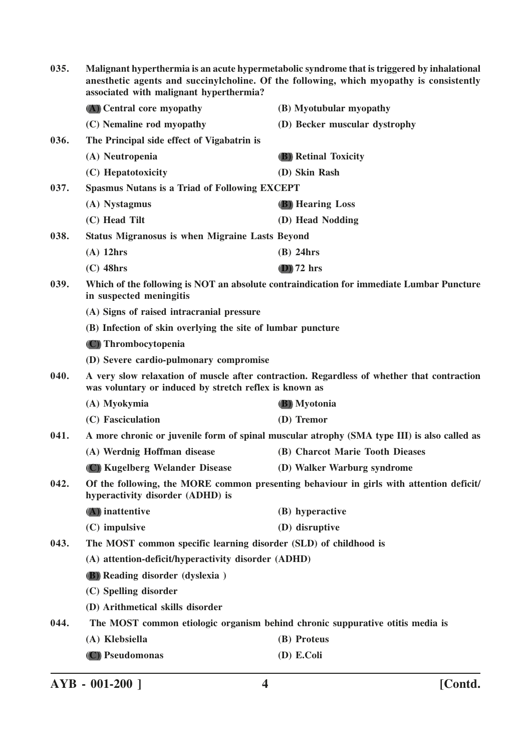| 035.                                                                                                                                | Malignant hyperthermia is an acute hypermetabolic syndrome that is triggered by inhalational<br>anesthetic agents and succinylcholine. Of the following, which myopathy is consistently<br>associated with malignant hyperthermia? |                                                                                             |  |
|-------------------------------------------------------------------------------------------------------------------------------------|------------------------------------------------------------------------------------------------------------------------------------------------------------------------------------------------------------------------------------|---------------------------------------------------------------------------------------------|--|
|                                                                                                                                     | (A) Central core myopathy                                                                                                                                                                                                          | (B) Myotubular myopathy                                                                     |  |
|                                                                                                                                     | (C) Nemaline rod myopathy                                                                                                                                                                                                          | (D) Becker muscular dystrophy                                                               |  |
| 036.                                                                                                                                | The Principal side effect of Vigabatrin is                                                                                                                                                                                         |                                                                                             |  |
|                                                                                                                                     | (A) Neutropenia                                                                                                                                                                                                                    | <b>(B)</b> Retinal Toxicity                                                                 |  |
|                                                                                                                                     | (C) Hepatotoxicity                                                                                                                                                                                                                 | (D) Skin Rash                                                                               |  |
| 037.                                                                                                                                | <b>Spasmus Nutans is a Triad of Following EXCEPT</b>                                                                                                                                                                               |                                                                                             |  |
|                                                                                                                                     | (A) Nystagmus                                                                                                                                                                                                                      | <b>(B)</b> Hearing Loss                                                                     |  |
|                                                                                                                                     | (C) Head Tilt                                                                                                                                                                                                                      | (D) Head Nodding                                                                            |  |
| 038.                                                                                                                                | <b>Status Migranosus is when Migraine Lasts Beyond</b>                                                                                                                                                                             |                                                                                             |  |
|                                                                                                                                     | $(A)$ 12hrs                                                                                                                                                                                                                        | $(B)$ 24hrs                                                                                 |  |
|                                                                                                                                     | $(C)$ 48hrs                                                                                                                                                                                                                        | $(D)$ 72 hrs                                                                                |  |
| 039.                                                                                                                                | in suspected meningitis                                                                                                                                                                                                            | Which of the following is NOT an absolute contraindication for immediate Lumbar Puncture    |  |
|                                                                                                                                     | (A) Signs of raised intracranial pressure                                                                                                                                                                                          |                                                                                             |  |
|                                                                                                                                     | (B) Infection of skin overlying the site of lumbar puncture                                                                                                                                                                        |                                                                                             |  |
|                                                                                                                                     | (C) Thrombocytopenia                                                                                                                                                                                                               |                                                                                             |  |
|                                                                                                                                     | (D) Severe cardio-pulmonary compromise                                                                                                                                                                                             |                                                                                             |  |
| 040.                                                                                                                                | was voluntary or induced by stretch reflex is known as                                                                                                                                                                             | A very slow relaxation of muscle after contraction. Regardless of whether that contraction  |  |
|                                                                                                                                     | (A) Myokymia                                                                                                                                                                                                                       | (B) Myotonia                                                                                |  |
|                                                                                                                                     | (C) Fasciculation                                                                                                                                                                                                                  | (D) Tremor                                                                                  |  |
| 041.                                                                                                                                |                                                                                                                                                                                                                                    | A more chronic or juvenile form of spinal muscular atrophy (SMA type III) is also called as |  |
|                                                                                                                                     | (A) Werdnig Hoffman disease                                                                                                                                                                                                        | (B) Charcot Marie Tooth Dieases                                                             |  |
|                                                                                                                                     | (C) Kugelberg Welander Disease                                                                                                                                                                                                     | (D) Walker Warburg syndrome                                                                 |  |
| Of the following, the MORE common presenting behaviour in girls with attention deficit/<br>042.<br>hyperactivity disorder (ADHD) is |                                                                                                                                                                                                                                    |                                                                                             |  |
|                                                                                                                                     | (A) inattentive                                                                                                                                                                                                                    | (B) hyperactive                                                                             |  |
|                                                                                                                                     | (C) impulsive                                                                                                                                                                                                                      | (D) disruptive                                                                              |  |
| 043.                                                                                                                                | The MOST common specific learning disorder (SLD) of childhood is                                                                                                                                                                   |                                                                                             |  |
|                                                                                                                                     | (A) attention-deficit/hyperactivity disorder (ADHD)                                                                                                                                                                                |                                                                                             |  |
|                                                                                                                                     | (B) Reading disorder (dyslexia)                                                                                                                                                                                                    |                                                                                             |  |
|                                                                                                                                     | (C) Spelling disorder                                                                                                                                                                                                              |                                                                                             |  |
|                                                                                                                                     | (D) Arithmetical skills disorder                                                                                                                                                                                                   |                                                                                             |  |
| 044.                                                                                                                                | The MOST common etiologic organism behind chronic suppurative otitis media is                                                                                                                                                      |                                                                                             |  |
|                                                                                                                                     | (A) Klebsiella                                                                                                                                                                                                                     | (B) Proteus                                                                                 |  |
|                                                                                                                                     | (C) Pseudomonas                                                                                                                                                                                                                    | (D) E.Coli                                                                                  |  |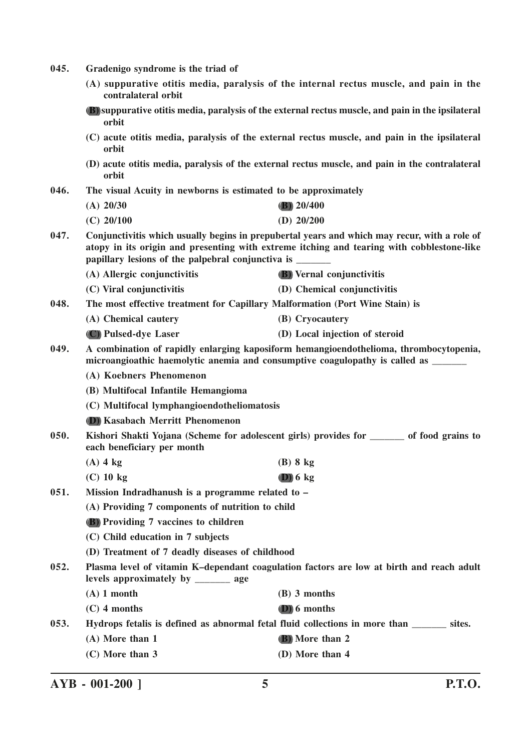- **045. Gradenigo syndrome is the triad of**
	- **(A) suppurative otitis media, paralysis of the internal rectus muscle, and pain in the contralateral orbit**
	- **(B) suppurative otitis media, paralysis of the external rectus muscle, and pain in the ipsilateral orbit**
	- **(C) acute otitis media, paralysis of the external rectus muscle, and pain in the ipsilateral orbit**
	- **(D) acute otitis media, paralysis of the external rectus muscle, and pain in the contralateral orbit**
- **046. The visual Acuity in newborns is estimated to be approximately**

| (A) 20/30    | (B) $20/400$ |
|--------------|--------------|
| $(C)$ 20/100 | (D) $20/200$ |

- **047. Conjunctivitis which usually begins in prepubertal years and which may recur, with a role of atopy in its origin and presenting with extreme itching and tearing with cobblestone-like papillary lesions of the palpebral conjunctiva is** 
	- **(A) Allergic conjunctivitis (B) Vernal conjunctivitis**
	- **(C) Viral conjunctivitis (D) Chemical conjunctivitis**
- **048. The most effective treatment for Capillary Malformation (Port Wine Stain) is**
	- **(A) Chemical cautery (B) Cryocautery**
	- **(C) Pulsed-dye Laser (D) Local injection of steroid**
- **049. A combination of rapidly enlarging kaposiform hemangioendothelioma, thrombocytopenia, microangioathic haemolytic anemia and consumptive coagulopathy is called as \_\_\_\_\_\_\_**
	- **(A) Koebners Phenomenon**
	- **(B) Multifocal Infantile Hemangioma**
	- **(C) Multifocal lymphangioendotheliomatosis**
	- **(D) Kasabach Merritt Phenomenon**
- **050. Kishori Shakti Yojana (Scheme for adolescent girls) provides for \_\_\_\_\_\_\_ of food grains to each beneficiary per month**
	- **(A) 4 kg (B) 8 kg**
	- **(C) 10 kg (D) 6 kg**
- **051. Mission Indradhanush is a programme related to –**

**(A) Providing 7 components of nutrition to child**

- **(B) Providing 7 vaccines to children**
- **(C) Child education in 7 subjects**
- **(D) Treatment of 7 deadly diseases of childhood**
- **052. Plasma level of vitamin K–dependant coagulation factors are low at birth and reach adult levels approximately by \_\_\_\_\_\_\_ age**
	- **(A) 1 month (B) 3 months**
	- **(C) 4 months (D) 6 months**

**053. Hydrops fetalis is defined as abnormal fetal fluid collections in more than \_\_\_\_\_\_\_ sites.**

- **(A) More than 1 (B) More than 2**
- **(C) More than 3 (D) More than 4**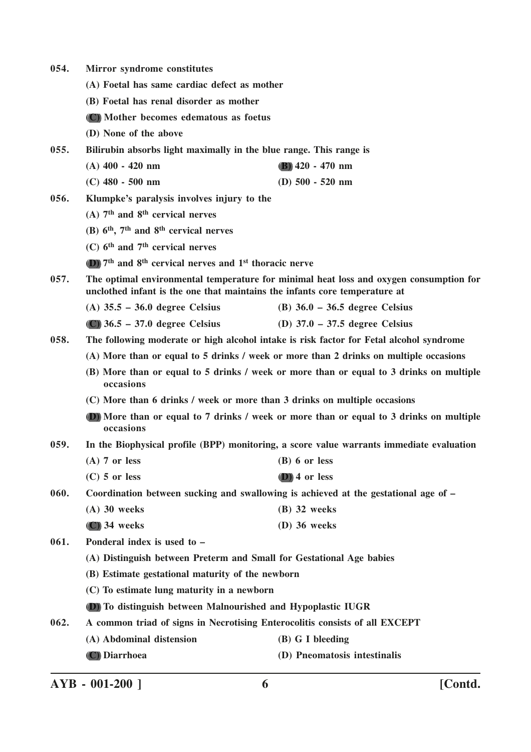- **054. Mirror syndrome constitutes**
	- **(A) Foetal has same cardiac defect as mother**
	- **(B) Foetal has renal disorder as mother**
	- **(C) Mother becomes edematous as foetus**
	- **(D) None of the above**

**055. Bilirubin absorbs light maximally in the blue range. This range is**

- **(A) 400 420 nm (B) 420 470 nm**
- **(C) 480 500 nm (D) 500 520 nm**
- **056. Klumpke's paralysis involves injury to the**
	- **(A) 7th and 8th cervical nerves**
	- **(B) 6th, 7th and 8th cervical nerves**
	- **(C) 6th and 7th cervical nerves**
	- **(D) 7th and 8th cervical nerves and 1st thoracic nerve**
- **057. The optimal environmental temperature for minimal heat loss and oxygen consumption for unclothed infant is the one that maintains the infants core temperature at**
	- **(A) 35.5 36.0 degree Celsius (B) 36.0 36.5 degree Celsius**
	- **(C) 36.5 37.0 degree Celsius (D) 37.0 37.5 degree Celsius**
- **058. The following moderate or high alcohol intake is risk factor for Fetal alcohol syndrome**
	- **(A) More than or equal to 5 drinks / week or more than 2 drinks on multiple occasions**
	- **(B) More than or equal to 5 drinks / week or more than or equal to 3 drinks on multiple occasions**
	- **(C) More than 6 drinks / week or more than 3 drinks on multiple occasions**
	- **(D) More than or equal to 7 drinks / week or more than or equal to 3 drinks on multiple occasions**
- **059. In the Biophysical profile (BPP) monitoring, a score value warrants immediate evaluation**
	- **(A) 7 or less (B) 6 or less**
	- **(C) 5 or less (D) 4 or less**
- **060. Coordination between sucking and swallowing is achieved at the gestational age of –**
	- **(A) 30 weeks (B) 32 weeks**
		- **(C) 34 weeks (D) 36 weeks**
- **061. Ponderal index is used to –**
	- **(A) Distinguish between Preterm and Small for Gestational Age babies**
	- **(B) Estimate gestational maturity of the newborn**
	- **(C) To estimate lung maturity in a newborn**
	- **(D) To distinguish between Malnourished and Hypoplastic IUGR**
- **062. A common triad of signs in Necrotising Enterocolitis consists of all EXCEPT**
	- **(A) Abdominal distension (B) G I bleeding**
	- **(C) Diarrhoea (D) Pneomatosis intestinalis**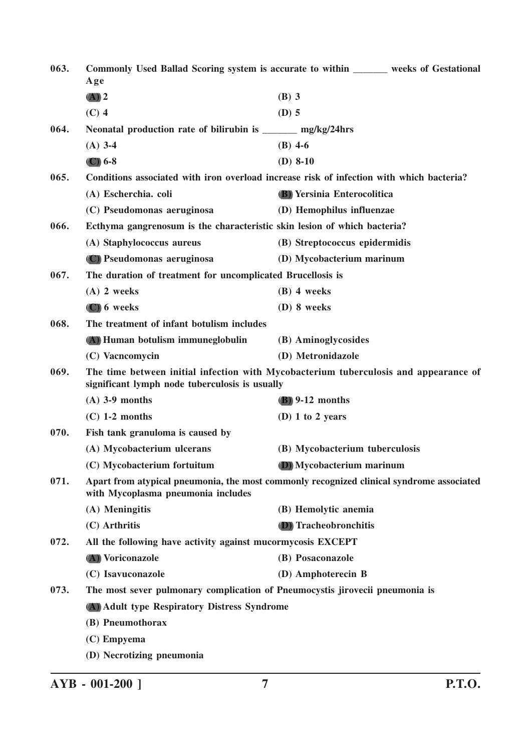| 063. | Age                                                                          | Commonly Used Ballad Scoring system is accurate to within _______ weeks of Gestational   |
|------|------------------------------------------------------------------------------|------------------------------------------------------------------------------------------|
|      | $(A)$ 2                                                                      | $(B)$ 3                                                                                  |
|      | $(C)$ 4                                                                      | $(D)$ 5                                                                                  |
| 064. | Neonatal production rate of bilirubin is ______ mg/kg/24hrs                  |                                                                                          |
|      | $(A)$ 3-4                                                                    | $(B)$ 4-6                                                                                |
|      | $\left(\mathbb{C}\right)$ 6-8                                                | $(D)$ 8-10                                                                               |
| 065. |                                                                              | Conditions associated with iron overload increase risk of infection with which bacteria? |
|      | (A) Escherchia. coli                                                         | <b>(B)</b> Yersinia Enterocolitica                                                       |
|      | (C) Pseudomonas aeruginosa                                                   | (D) Hemophilus influenzae                                                                |
| 066. | Ecthyma gangrenosum is the characteristic skin lesion of which bacteria?     |                                                                                          |
|      | (A) Staphylococcus aureus                                                    | (B) Streptococcus epidermidis                                                            |
|      | (C) Pseudomonas aeruginosa                                                   | (D) Mycobacterium marinum                                                                |
| 067. | The duration of treatment for uncomplicated Brucellosis is                   |                                                                                          |
|      | $(A)$ 2 weeks                                                                | $(B)$ 4 weeks                                                                            |
|      | $(C)$ 6 weeks                                                                | (D) 8 weeks                                                                              |
| 068. | The treatment of infant botulism includes                                    |                                                                                          |
|      | (A) Human botulism immuneglobulin                                            | (B) Aminoglycosides                                                                      |
|      | (C) Vacncomycin                                                              | (D) Metronidazole                                                                        |
| 069. | significant lymph node tuberculosis is usually                               | The time between initial infection with Mycobacterium tuberculosis and appearance of     |
|      | $(A)$ 3-9 months                                                             | $(B)$ 9-12 months                                                                        |
|      | $(C)$ 1-2 months                                                             | (D) 1 to 2 years                                                                         |
| 070. | Fish tank granuloma is caused by                                             |                                                                                          |
|      | (A) Mycobacterium ulcerans                                                   | (B) Mycobacterium tuberculosis                                                           |
|      | (C) Mycobacterium fortuitum                                                  | (D) Mycobacterium marinum                                                                |
| 071. | with Mycoplasma pneumonia includes                                           | Apart from atypical pneumonia, the most commonly recognized clinical syndrome associated |
|      | (A) Meningitis                                                               | (B) Hemolytic anemia                                                                     |
|      | (C) Arthritis                                                                | <b>(D)</b> Tracheobronchitis                                                             |
| 072. | All the following have activity against mucormycosis EXCEPT                  |                                                                                          |
|      | (A) Voriconazole                                                             | (B) Posaconazole                                                                         |
|      | (C) Isavuconazole                                                            | (D) Amphoterecin B                                                                       |
| 073. | The most sever pulmonary complication of Pneumocystis jirovecii pneumonia is |                                                                                          |
|      | (A) Adult type Respiratory Distress Syndrome                                 |                                                                                          |
|      | (B) Pneumothorax                                                             |                                                                                          |
|      | (C) Empyema                                                                  |                                                                                          |
|      | (D) Necrotizing pneumonia                                                    |                                                                                          |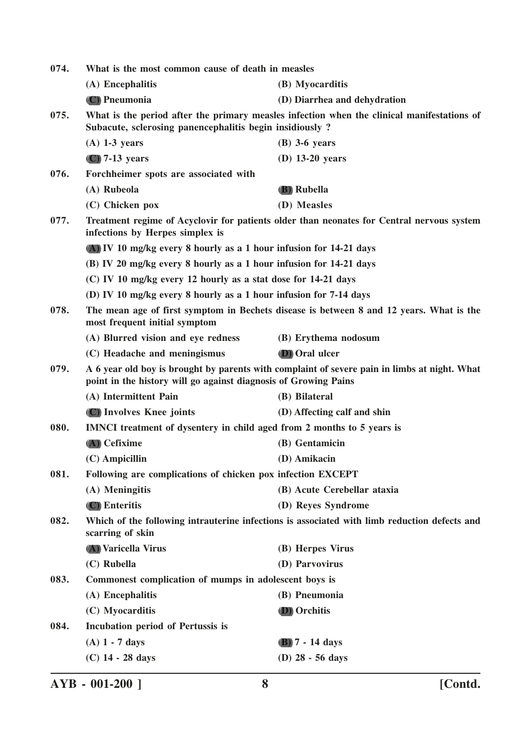| 074. | What is the most common cause of death in measles                      |                                                                                              |
|------|------------------------------------------------------------------------|----------------------------------------------------------------------------------------------|
|      | (A) Encephalitis                                                       | (B) Myocarditis                                                                              |
|      | (C) Pneumonia                                                          | (D) Diarrhea and dehydration                                                                 |
| 075. | Subacute, sclerosing panencephalitis begin insidiously?                | What is the period after the primary measles infection when the clinical manifestations of   |
|      | $(A)$ 1-3 years                                                        | $(B)$ 3-6 years                                                                              |
|      | $(C)$ 7-13 years                                                       | $(D)$ 13-20 years                                                                            |
| 076. | Forchheimer spots are associated with                                  |                                                                                              |
|      | (A) Rubeola                                                            | (B) Rubella                                                                                  |
|      | (C) Chicken pox                                                        | (D) Measles                                                                                  |
| 077. | infections by Herpes simplex is                                        | Treatment regime of Acyclovir for patients older than neonates for Central nervous system    |
|      | (A) IV 10 mg/kg every 8 hourly as a 1 hour infusion for 14-21 days     |                                                                                              |
|      | (B) IV 20 mg/kg every 8 hourly as a 1 hour infusion for 14-21 days     |                                                                                              |
|      | (C) IV 10 mg/kg every 12 hourly as a stat dose for 14-21 days          |                                                                                              |
|      | (D) IV 10 mg/kg every 8 hourly as a 1 hour infusion for 7-14 days      |                                                                                              |
| 078. | most frequent initial symptom                                          | The mean age of first symptom in Bechets disease is between 8 and 12 years. What is the      |
|      | (A) Blurred vision and eye redness                                     | (B) Erythema nodosum                                                                         |
|      | (C) Headache and meningismus                                           | <b>(D)</b> Oral ulcer                                                                        |
| 079. | point in the history will go against diagnosis of Growing Pains        | A 6 year old boy is brought by parents with complaint of severe pain in limbs at night. What |
|      | (A) Intermittent Pain                                                  | (B) Bilateral                                                                                |
|      | (C) Involves Knee joints                                               | (D) Affecting calf and shin                                                                  |
| 080. | IMNCI treatment of dysentery in child aged from 2 months to 5 years is |                                                                                              |
|      | (A) Cefixime                                                           | (B) Gentamicin                                                                               |
|      | $(C)$ Ampicillin                                                       | (D) Amikacin                                                                                 |
| 081. | Following are complications of chicken pox infection EXCEPT            |                                                                                              |
|      | (A) Meningitis                                                         | (B) Acute Cerebellar ataxia                                                                  |
|      | (C) Enteritis                                                          | (D) Reyes Syndrome                                                                           |
| 082. | scarring of skin                                                       | Which of the following intrauterine infections is associated with limb reduction defects and |
|      | (A) Varicella Virus                                                    | (B) Herpes Virus                                                                             |
|      | (C) Rubella                                                            | (D) Parvovirus                                                                               |
| 083. | Commonest complication of mumps in adolescent boys is                  |                                                                                              |
|      | (A) Encephalitis                                                       | (B) Pneumonia                                                                                |
|      | (C) Myocarditis                                                        | <b>D</b> ) Orchitis                                                                          |
| 084. | <b>Incubation period of Pertussis is</b>                               |                                                                                              |
|      | $(A)$ 1 - 7 days                                                       | $(B)$ 7 - 14 days                                                                            |
|      | $(C)$ 14 - 28 days                                                     | (D) 28 - 56 days                                                                             |
|      |                                                                        |                                                                                              |

**AYB - 001-200 ] 8 [Contd.**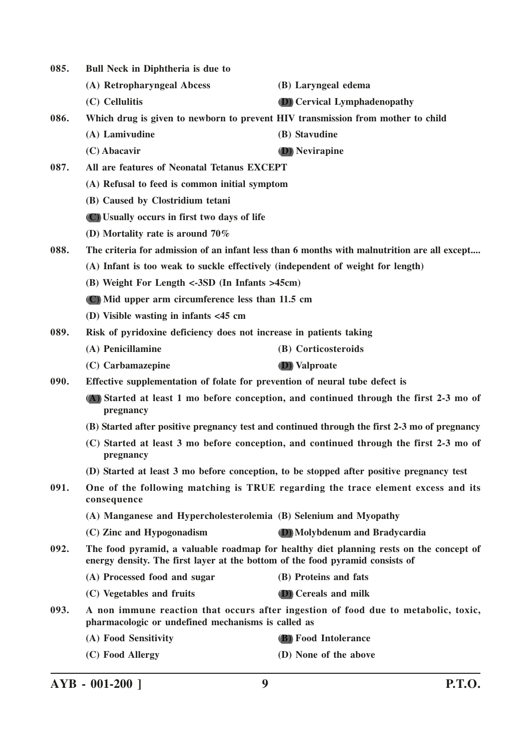**085. Bull Neck in Diphtheria is due to (A) Retropharyngeal Abcess (B) Laryngeal edema (C) Cellulitis (D) Cervical Lymphadenopathy 086. Which drug is given to newborn to prevent HIV transmission from mother to child (A) Lamivudine (B) Stavudine (C) Abacavir (D) Nevirapine 087. All are features of Neonatal Tetanus EXCEPT (A) Refusal to feed is common initial symptom (B) Caused by Clostridium tetani (C) Usually occurs in first two days of life (D) Mortality rate is around 70% 088. The criteria for admission of an infant less than 6 months with malnutrition are all except.... (A) Infant is too weak to suckle effectively (independent of weight for length) (B) Weight For Length <-3SD (In Infants >45cm) (C) Mid upper arm circumference less than 11.5 cm (D) Visible wasting in infants <45 cm 089. Risk of pyridoxine deficiency does not increase in patients taking (A) Penicillamine (B) Corticosteroids (C) Carbamazepine (D) Valproate 090. Effective supplementation of folate for prevention of neural tube defect is (A) Started at least 1 mo before conception, and continued through the first 2-3 mo of pregnancy (B) Started after positive pregnancy test and continued through the first 2-3 mo of pregnancy (C) Started at least 3 mo before conception, and continued through the first 2-3 mo of pregnancy (D) Started at least 3 mo before conception, to be stopped after positive pregnancy test 091. One of the following matching is TRUE regarding the trace element excess and its consequence (A) Manganese and Hypercholesterolemia (B) Selenium and Myopathy (C) Zinc and Hypogonadism (D) Molybdenum and Bradycardia 092. The food pyramid, a valuable roadmap for healthy diet planning rests on the concept of energy density. The first layer at the bottom of the food pyramid consists of (A) Processed food and sugar (B) Proteins and fats (C) Vegetables and fruits (D) Cereals and milk 093. A non immune reaction that occurs after ingestion of food due to metabolic, toxic, pharmacologic or undefined mechanisms is called as (A) Food Sensitivity (B) Food Intolerance (C) Food Allergy (D) None of the above**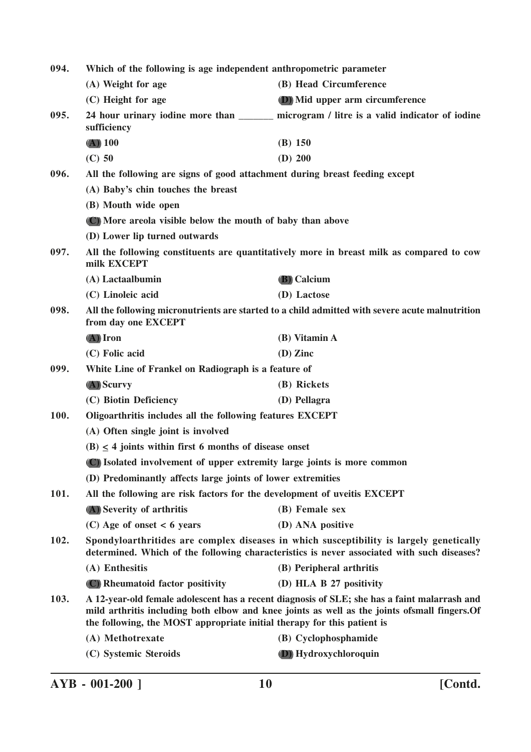| 094.<br>Which of the following is age independent anthropometric parameter |                                                                                                                                                                                       |                                                                                                                                                                                                |  |
|----------------------------------------------------------------------------|---------------------------------------------------------------------------------------------------------------------------------------------------------------------------------------|------------------------------------------------------------------------------------------------------------------------------------------------------------------------------------------------|--|
|                                                                            | (A) Weight for age                                                                                                                                                                    | (B) Head Circumference                                                                                                                                                                         |  |
|                                                                            | (C) Height for age                                                                                                                                                                    | (D) Mid upper arm circumference                                                                                                                                                                |  |
| 095.                                                                       | sufficiency                                                                                                                                                                           | 24 hour urinary iodine more than ________ microgram / litre is a valid indicator of iodine                                                                                                     |  |
|                                                                            | $(A)$ 100                                                                                                                                                                             | $(B)$ 150                                                                                                                                                                                      |  |
|                                                                            | $(C)$ 50                                                                                                                                                                              | $(D)$ 200                                                                                                                                                                                      |  |
| 096.                                                                       | All the following are signs of good attachment during breast feeding except                                                                                                           |                                                                                                                                                                                                |  |
|                                                                            | (A) Baby's chin touches the breast                                                                                                                                                    |                                                                                                                                                                                                |  |
|                                                                            | (B) Mouth wide open                                                                                                                                                                   |                                                                                                                                                                                                |  |
|                                                                            | (C) More areola visible below the mouth of baby than above                                                                                                                            |                                                                                                                                                                                                |  |
|                                                                            | (D) Lower lip turned outwards                                                                                                                                                         |                                                                                                                                                                                                |  |
| 097.                                                                       | milk EXCEPT                                                                                                                                                                           | All the following constituents are quantitatively more in breast milk as compared to cow                                                                                                       |  |
|                                                                            | (A) Lactaalbumin                                                                                                                                                                      | <b>(B)</b> Calcium                                                                                                                                                                             |  |
|                                                                            | (C) Linoleic acid                                                                                                                                                                     | (D) Lactose                                                                                                                                                                                    |  |
| 098.                                                                       | All the following micronutrients are started to a child admitted with severe acute malnutrition<br>from day one EXCEPT                                                                |                                                                                                                                                                                                |  |
|                                                                            | $(A)$ Iron                                                                                                                                                                            | (B) Vitamin A                                                                                                                                                                                  |  |
|                                                                            | (C) Folic acid                                                                                                                                                                        | $(D)$ Zinc                                                                                                                                                                                     |  |
| 099.                                                                       | White Line of Frankel on Radiograph is a feature of                                                                                                                                   |                                                                                                                                                                                                |  |
|                                                                            | $(A)$ Scurvy                                                                                                                                                                          | (B) Rickets                                                                                                                                                                                    |  |
|                                                                            | (C) Biotin Deficiency                                                                                                                                                                 | (D) Pellagra                                                                                                                                                                                   |  |
| 100.                                                                       | Oligoarthritis includes all the following features EXCEPT                                                                                                                             |                                                                                                                                                                                                |  |
|                                                                            | (A) Often single joint is involved                                                                                                                                                    |                                                                                                                                                                                                |  |
|                                                                            | $(B) \leq 4$ joints within first 6 months of disease onset                                                                                                                            |                                                                                                                                                                                                |  |
|                                                                            |                                                                                                                                                                                       | (C) Isolated involvement of upper extremity large joints is more common                                                                                                                        |  |
|                                                                            | (D) Predominantly affects large joints of lower extremities                                                                                                                           |                                                                                                                                                                                                |  |
| 101.                                                                       | All the following are risk factors for the development of uveitis EXCEPT                                                                                                              |                                                                                                                                                                                                |  |
|                                                                            | (A) Severity of arthritis                                                                                                                                                             | (B) Female sex                                                                                                                                                                                 |  |
|                                                                            | $(C)$ Age of onset < 6 years                                                                                                                                                          | (D) ANA positive                                                                                                                                                                               |  |
| 102.                                                                       | Spondyloarthritides are complex diseases in which susceptibility is largely genetically<br>determined. Which of the following characteristics is never associated with such diseases? |                                                                                                                                                                                                |  |
|                                                                            | (A) Enthesitis                                                                                                                                                                        | (B) Peripheral arthritis                                                                                                                                                                       |  |
|                                                                            | (C) Rheumatoid factor positivity                                                                                                                                                      | (D) HLA B 27 positivity                                                                                                                                                                        |  |
| 103.                                                                       | the following, the MOST appropriate initial therapy for this patient is                                                                                                               | A 12-year-old female adolescent has a recent diagnosis of SLE; she has a faint malarrash and<br>mild arthritis including both elbow and knee joints as well as the joints of small fingers. Of |  |
|                                                                            | (A) Methotrexate                                                                                                                                                                      | (B) Cyclophosphamide                                                                                                                                                                           |  |
|                                                                            | (C) Systemic Steroids                                                                                                                                                                 | (D) Hydroxychloroquin                                                                                                                                                                          |  |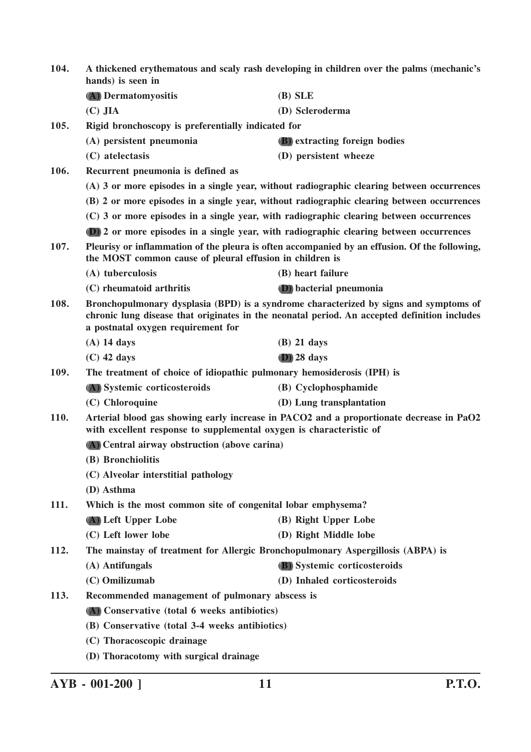| 104. | A thickened erythematous and scaly rash developing in children over the palms (mechanic's<br>hands) is seen in |                                                                                                                                                                                       |
|------|----------------------------------------------------------------------------------------------------------------|---------------------------------------------------------------------------------------------------------------------------------------------------------------------------------------|
|      | (A) Dermatomyositis                                                                                            | $(B)$ SLE                                                                                                                                                                             |
|      | $(C)$ JIA                                                                                                      | (D) Scleroderma                                                                                                                                                                       |
| 105. | Rigid bronchoscopy is preferentially indicated for                                                             |                                                                                                                                                                                       |
|      | (A) persistent pneumonia                                                                                       | (B) extracting foreign bodies                                                                                                                                                         |
|      | (C) atelectasis                                                                                                | (D) persistent wheeze                                                                                                                                                                 |
| 106. | Recurrent pneumonia is defined as                                                                              |                                                                                                                                                                                       |
|      |                                                                                                                | (A) 3 or more episodes in a single year, without radiographic clearing between occurrences                                                                                            |
|      |                                                                                                                | (B) 2 or more episodes in a single year, without radiographic clearing between occurrences                                                                                            |
|      |                                                                                                                | (C) 3 or more episodes in a single year, with radiographic clearing between occurrences                                                                                               |
|      |                                                                                                                | (D) 2 or more episodes in a single year, with radiographic clearing between occurrences                                                                                               |
| 107. | the MOST common cause of pleural effusion in children is                                                       | Pleurisy or inflammation of the pleura is often accompanied by an effusion. Of the following,                                                                                         |
|      | (A) tuberculosis                                                                                               | (B) heart failure                                                                                                                                                                     |
|      | (C) rheumatoid arthritis                                                                                       | (D) bacterial pneumonia                                                                                                                                                               |
| 108. | a postnatal oxygen requirement for                                                                             | Bronchopulmonary dysplasia (BPD) is a syndrome characterized by signs and symptoms of<br>chronic lung disease that originates in the neonatal period. An accepted definition includes |
|      | $(A)$ 14 days                                                                                                  | $(B)$ 21 days                                                                                                                                                                         |
|      | $(C)$ 42 days                                                                                                  | $(D)$ 28 days                                                                                                                                                                         |
| 109. | The treatment of choice of idiopathic pulmonary hemosiderosis (IPH) is                                         |                                                                                                                                                                                       |
|      | (A) Systemic corticosteroids                                                                                   | (B) Cyclophosphamide                                                                                                                                                                  |
|      | (C) Chloroquine                                                                                                | (D) Lung transplantation                                                                                                                                                              |
| 110. | with excellent response to supplemental oxygen is characteristic of                                            | Arterial blood gas showing early increase in PACO2 and a proportionate decrease in PaO2                                                                                               |
|      | (A) Central airway obstruction (above carina)                                                                  |                                                                                                                                                                                       |
|      | (B) Bronchiolitis                                                                                              |                                                                                                                                                                                       |
|      | (C) Alveolar interstitial pathology                                                                            |                                                                                                                                                                                       |
|      | (D) Asthma                                                                                                     |                                                                                                                                                                                       |
| 111. | Which is the most common site of congenital lobar emphysema?                                                   |                                                                                                                                                                                       |
|      | (A) Left Upper Lobe                                                                                            | (B) Right Upper Lobe                                                                                                                                                                  |
|      | (C) Left lower lobe                                                                                            | (D) Right Middle lobe                                                                                                                                                                 |
| 112. | The mainstay of treatment for Allergic Bronchopulmonary Aspergillosis (ABPA) is                                |                                                                                                                                                                                       |
|      | (A) Antifungals                                                                                                | (B) Systemic corticosteroids                                                                                                                                                          |
|      | (C) Omilizumab                                                                                                 | (D) Inhaled corticosteroids                                                                                                                                                           |
| 113. | Recommended management of pulmonary abscess is                                                                 |                                                                                                                                                                                       |
|      | (A) Conservative (total 6 weeks antibiotics)                                                                   |                                                                                                                                                                                       |
|      | (B) Conservative (total 3-4 weeks antibiotics)                                                                 |                                                                                                                                                                                       |
|      | (C) Thoracoscopic drainage                                                                                     |                                                                                                                                                                                       |
|      | (D) Thoracotomy with surgical drainage                                                                         |                                                                                                                                                                                       |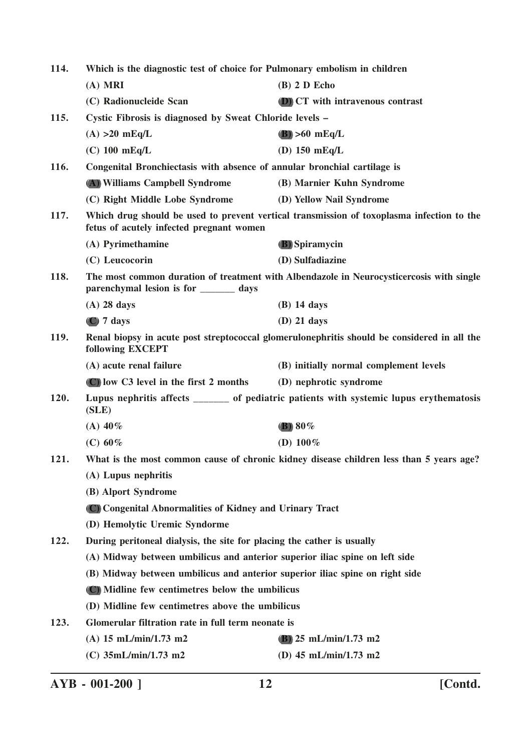| 114.                                                                        | Which is the diagnostic test of choice for Pulmonary embolism in children    |                                                                                             |
|-----------------------------------------------------------------------------|------------------------------------------------------------------------------|---------------------------------------------------------------------------------------------|
|                                                                             | $(A)$ MRI                                                                    | $(B)$ 2 D Echo                                                                              |
|                                                                             | (C) Radionucleide Scan                                                       | (D) CT with intravenous contrast                                                            |
| 115.                                                                        | Cystic Fibrosis is diagnosed by Sweat Chloride levels –                      |                                                                                             |
|                                                                             | $(A) >20$ mEq/L                                                              | $(B) > 60$ mEq/L                                                                            |
|                                                                             | $(C)$ 100 mEq/L                                                              | (D) $150$ mEq/L                                                                             |
| 116.                                                                        | Congenital Bronchiectasis with absence of annular bronchial cartilage is     |                                                                                             |
|                                                                             | (A) Williams Campbell Syndrome                                               | (B) Marnier Kuhn Syndrome                                                                   |
|                                                                             | (C) Right Middle Lobe Syndrome                                               | (D) Yellow Nail Syndrome                                                                    |
| 117.                                                                        | fetus of acutely infected pregnant women                                     | Which drug should be used to prevent vertical transmission of toxoplasma infection to the   |
|                                                                             | (A) Pyrimethamine                                                            | <b>(B)</b> Spiramycin                                                                       |
|                                                                             | (C) Leucocorin                                                               | (D) Sulfadiazine                                                                            |
| 118.                                                                        | parenchymal lesion is for ______ days                                        | The most common duration of treatment with Albendazole in Neurocysticercosis with single    |
|                                                                             | $(A)$ 28 days                                                                | $(B)$ 14 days                                                                               |
|                                                                             | $(C)$ 7 days                                                                 | $(D)$ 21 days                                                                               |
| 119.                                                                        | following EXCEPT                                                             | Renal biopsy in acute post streptococcal glomerulonephritis should be considered in all the |
|                                                                             | (A) acute renal failure                                                      | (B) initially normal complement levels                                                      |
|                                                                             | $(C)$ low C3 level in the first 2 months                                     | (D) nephrotic syndrome                                                                      |
| 120.                                                                        | (SLE)                                                                        | Lupus nephritis affects _______ of pediatric patients with systemic lupus erythematosis     |
|                                                                             | (A) $40\%$                                                                   | (B) $80\%$                                                                                  |
|                                                                             | (C) $60\%$                                                                   | (D) $100\%$                                                                                 |
| 121.                                                                        |                                                                              | What is the most common cause of chronic kidney disease children less than 5 years age?     |
|                                                                             | (A) Lupus nephritis                                                          |                                                                                             |
|                                                                             | (B) Alport Syndrome                                                          |                                                                                             |
|                                                                             | (C) Congenital Abnormalities of Kidney and Urinary Tract                     |                                                                                             |
|                                                                             | (D) Hemolytic Uremic Syndorme                                                |                                                                                             |
| 122.                                                                        | During peritoneal dialysis, the site for placing the cather is usually       |                                                                                             |
| (A) Midway between umbilicus and anterior superior iliac spine on left side |                                                                              |                                                                                             |
|                                                                             | (B) Midway between umbilicus and anterior superior iliac spine on right side |                                                                                             |
|                                                                             | (C) Midline few centimetres below the umbilicus                              |                                                                                             |
|                                                                             | (D) Midline few centimetres above the umbilicus                              |                                                                                             |
| 123.                                                                        | Glomerular filtration rate in full term neonate is                           |                                                                                             |
|                                                                             | (A) $15 \text{ mL/min}/1.73 \text{ m2}$                                      | (B) $25 \text{ mL/min}/1.73 \text{ m}2$                                                     |
|                                                                             | (C) 35mL/min/1.73 m2                                                         | (D) 45 mL/min/1.73 m2                                                                       |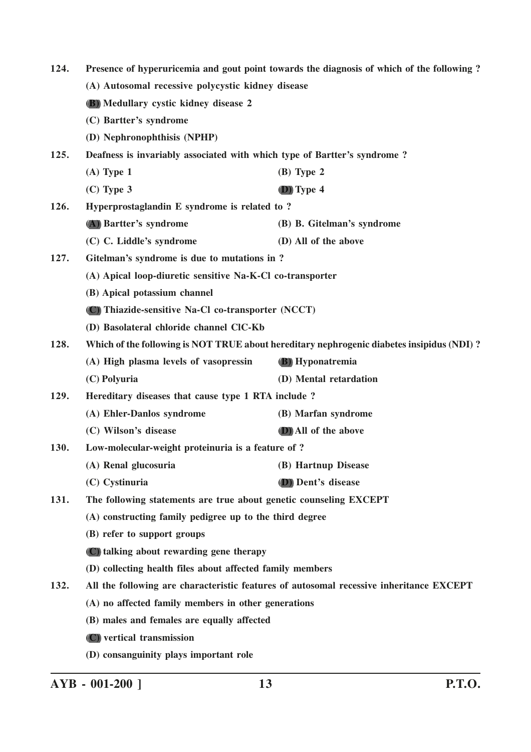| 124. | Presence of hyperuricemia and gout point towards the diagnosis of which of the following?<br>(A) Autosomal recessive polycystic kidney disease |                                                                                           |
|------|------------------------------------------------------------------------------------------------------------------------------------------------|-------------------------------------------------------------------------------------------|
|      |                                                                                                                                                |                                                                                           |
|      | <b>(B)</b> Medullary cystic kidney disease 2                                                                                                   |                                                                                           |
|      | (C) Bartter's syndrome                                                                                                                         |                                                                                           |
|      | (D) Nephronophthisis (NPHP)                                                                                                                    |                                                                                           |
| 125. | Deafness is invariably associated with which type of Bartter's syndrome?                                                                       |                                                                                           |
|      | $(A)$ Type 1                                                                                                                                   | $(B)$ Type 2                                                                              |
|      | $(C)$ Type 3                                                                                                                                   | (D) Type 4                                                                                |
| 126. | Hyperprostaglandin E syndrome is related to ?                                                                                                  |                                                                                           |
|      | (A) Bartter's syndrome                                                                                                                         | (B) B. Gitelman's syndrome                                                                |
|      | (C) C. Liddle's syndrome                                                                                                                       | (D) All of the above                                                                      |
| 127. | Gitelman's syndrome is due to mutations in ?                                                                                                   |                                                                                           |
|      | (A) Apical loop-diuretic sensitive Na-K-Cl co-transporter                                                                                      |                                                                                           |
|      | (B) Apical potassium channel                                                                                                                   |                                                                                           |
|      | (C) Thiazide-sensitive Na-Cl co-transporter (NCCT)                                                                                             |                                                                                           |
|      | (D) Basolateral chloride channel CIC-Kb                                                                                                        |                                                                                           |
| 128. |                                                                                                                                                | Which of the following is NOT TRUE about hereditary nephrogenic diabetes insipidus (NDI)? |
|      | (A) High plasma levels of vasopressin                                                                                                          | (B) Hyponatremia                                                                          |
|      | (C) Polyuria                                                                                                                                   | (D) Mental retardation                                                                    |
| 129. | Hereditary diseases that cause type 1 RTA include ?                                                                                            |                                                                                           |
|      | (A) Ehler-Danlos syndrome                                                                                                                      | (B) Marfan syndrome                                                                       |
|      | (C) Wilson's disease                                                                                                                           | (D) All of the above                                                                      |
| 130. | Low-molecular-weight proteinuria is a feature of ?                                                                                             |                                                                                           |
|      | (A) Renal glucosuria                                                                                                                           | (B) Hartnup Disease                                                                       |
|      | (C) Cystinuria                                                                                                                                 | (D) Dent's disease                                                                        |
| 131. | The following statements are true about genetic counseling EXCEPT                                                                              |                                                                                           |
|      | (A) constructing family pedigree up to the third degree                                                                                        |                                                                                           |
|      | (B) refer to support groups                                                                                                                    |                                                                                           |
|      | (C) talking about rewarding gene therapy                                                                                                       |                                                                                           |
|      | (D) collecting health files about affected family members                                                                                      |                                                                                           |
| 132. |                                                                                                                                                | All the following are characteristic features of autosomal recessive inheritance EXCEPT   |
|      | (A) no affected family members in other generations                                                                                            |                                                                                           |
|      | (B) males and females are equally affected                                                                                                     |                                                                                           |
|      | (C) vertical transmission                                                                                                                      |                                                                                           |
|      | (D) consanguinity plays important role                                                                                                         |                                                                                           |

**AYB - 001-200 ] 13 P.T.O.**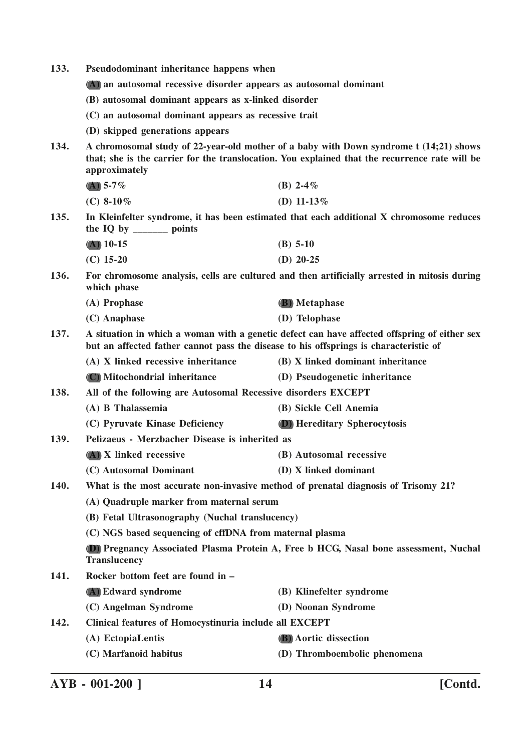- **133. Pseudodominant inheritance happens when**
	- **(A) an autosomal recessive disorder appears as autosomal dominant**
	- **(B) autosomal dominant appears as x-linked disorder**
	- **(C) an autosomal dominant appears as recessive trait**
	- **(D) skipped generations appears**
- **134. A chromosomal study of 22-year-old mother of a baby with Down syndrome t (14;21) shows that; she is the carrier for the translocation. You explained that the recurrence rate will be approximately**
	- **(A) 5-7% (B) 2-4% (C) 8-10% (D) 11-13%**
- **135. In Kleinfelter syndrome, it has been estimated that each additional X chromosome reduces the IQ by \_\_\_\_\_\_\_ points**
	- **(A) 10-15 (B) 5-10**
	- **(C) 15-20 (D) 20-25**
- **136. For chromosome analysis, cells are cultured and then artificially arrested in mitosis during which phase**

| (A) Prophase   | <b>(B)</b> Metaphase |
|----------------|----------------------|
| $(C)$ Anaphase | (D) Telophase        |

**137. A situation in which a woman with a genetic defect can have affected offspring of either sex but an affected father cannot pass the disease to his offsprings is characteristic of**

| (A) X linked recessive inheritance | (B) X linked dominant inheritance |
|------------------------------------|-----------------------------------|
|------------------------------------|-----------------------------------|

- **(C) Mitochondrial inheritance (D) Pseudogenetic inheritance**
- **138. All of the following are Autosomal Recessive disorders EXCEPT**
	- **(A) B Thalassemia (B) Sickle Cell Anemia**
		- **(C) Pyruvate Kinase Deficiency (D) Hereditary Spherocytosis**
- **139. Pelizaeus Merzbacher Disease is inherited as**
	- **(A) X linked recessive (B) Autosomal recessive**
		- **(C) Autosomal Dominant (D) X linked dominant**
- **140. What is the most accurate non-invasive method of prenatal diagnosis of Trisomy 21?**
	- **(A) Quadruple marker from maternal serum**
	- **(B) Fetal Ultrasonography (Nuchal translucency)**
	- **(C) NGS based sequencing of cffDNA from maternal plasma**

**(D) Pregnancy Associated Plasma Protein A, Free b HCG, Nasal bone assessment, Nuchal Translucency**

- **141. Rocker bottom feet are found in – (A) Edward syndrome (B) Klinefelter syndrome**
	- **(C) Angelman Syndrome (D) Noonan Syndrome**
- **142. Clinical features of Homocystinuria include all EXCEPT**
	- **(A) EctopiaLentis (B) Aortic dissection**
	- **(C) Marfanoid habitus (D) Thromboembolic phenomena**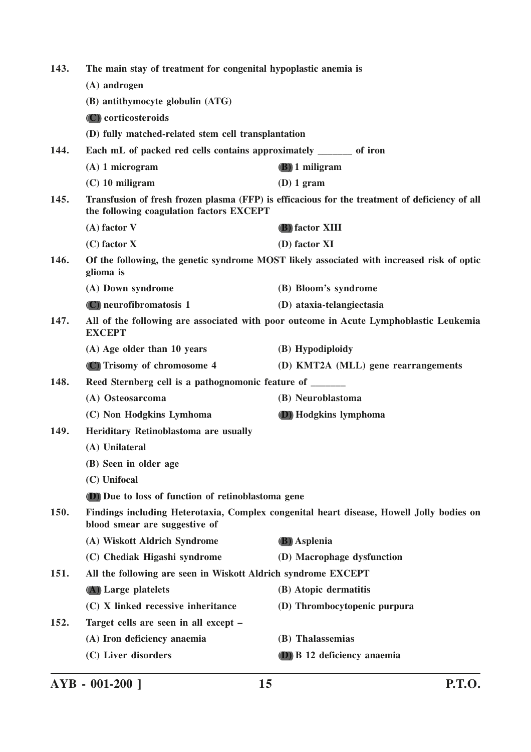| 143.                                                                                                                              | The main stay of treatment for congenital hypoplastic anemia is<br>(A) androgen                                                            |                                     |
|-----------------------------------------------------------------------------------------------------------------------------------|--------------------------------------------------------------------------------------------------------------------------------------------|-------------------------------------|
|                                                                                                                                   |                                                                                                                                            |                                     |
|                                                                                                                                   | (B) antithymocyte globulin (ATG)                                                                                                           |                                     |
|                                                                                                                                   | (C) corticosteroids                                                                                                                        |                                     |
|                                                                                                                                   | (D) fully matched-related stem cell transplantation                                                                                        |                                     |
| 144.                                                                                                                              | Each mL of packed red cells contains approximately _______ of iron                                                                         |                                     |
|                                                                                                                                   | $(A)$ 1 microgram                                                                                                                          | <b>(B)</b> 1 miligram               |
|                                                                                                                                   | $(C)$ 10 miligram                                                                                                                          | $(D) 1$ gram                        |
| 145.                                                                                                                              | Transfusion of fresh frozen plasma (FFP) is efficacious for the treatment of deficiency of all<br>the following coagulation factors EXCEPT |                                     |
|                                                                                                                                   | $(A)$ factor V                                                                                                                             | (B) factor XIII                     |
|                                                                                                                                   | $(C)$ factor X                                                                                                                             | (D) factor XI                       |
| 146.                                                                                                                              | Of the following, the genetic syndrome MOST likely associated with increased risk of optic<br>glioma is                                    |                                     |
|                                                                                                                                   | (A) Down syndrome                                                                                                                          | (B) Bloom's syndrome                |
|                                                                                                                                   | (C) neurofibromatosis 1                                                                                                                    | (D) ataxia-telangiectasia           |
| 147.<br>All of the following are associated with poor outcome in Acute Lymphoblastic Leukemia<br><b>EXCEPT</b>                    |                                                                                                                                            |                                     |
|                                                                                                                                   | (A) Age older than 10 years                                                                                                                | (B) Hypodiploidy                    |
|                                                                                                                                   | (C) Trisomy of chromosome 4                                                                                                                | (D) KMT2A (MLL) gene rearrangements |
| 148.                                                                                                                              | Reed Sternberg cell is a pathognomonic feature of ______                                                                                   |                                     |
|                                                                                                                                   | (A) Osteosarcoma                                                                                                                           | (B) Neuroblastoma                   |
|                                                                                                                                   | (C) Non Hodgkins Lymhoma                                                                                                                   | (D) Hodgkins lymphoma               |
| Heriditary Retinoblastoma are usually<br>149.                                                                                     |                                                                                                                                            |                                     |
|                                                                                                                                   | (A) Unilateral                                                                                                                             |                                     |
|                                                                                                                                   | (B) Seen in older age                                                                                                                      |                                     |
|                                                                                                                                   | (C) Unifocal                                                                                                                               |                                     |
| (D) Due to loss of function of retinoblastoma gene                                                                                |                                                                                                                                            |                                     |
| 150.<br>Findings including Heterotaxia, Complex congenital heart disease, Howell Jolly bodies on<br>blood smear are suggestive of |                                                                                                                                            |                                     |
|                                                                                                                                   | (A) Wiskott Aldrich Syndrome                                                                                                               | <b>(B)</b> Asplenia                 |
|                                                                                                                                   | (C) Chediak Higashi syndrome                                                                                                               | (D) Macrophage dysfunction          |
| 151.                                                                                                                              | All the following are seen in Wiskott Aldrich syndrome EXCEPT                                                                              |                                     |
|                                                                                                                                   | (A) Large platelets                                                                                                                        | (B) Atopic dermatitis               |
|                                                                                                                                   | (C) X linked recessive inheritance                                                                                                         | (D) Thrombocytopenic purpura        |
| 152.                                                                                                                              | Target cells are seen in all except -                                                                                                      |                                     |
|                                                                                                                                   | (A) Iron deficiency anaemia                                                                                                                | (B) Thalassemias                    |
|                                                                                                                                   | (C) Liver disorders                                                                                                                        | (D) B 12 deficiency anaemia         |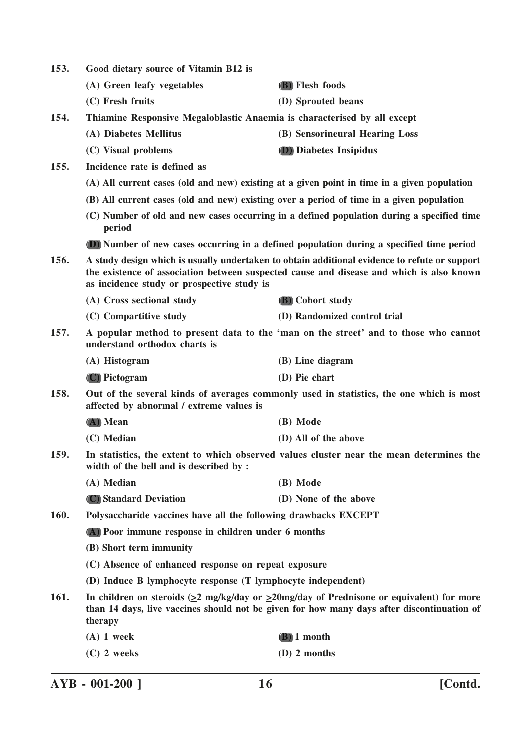**153. Good dietary source of Vitamin B12 is (A) Green leafy vegetables (B) Flesh foods (C) Fresh fruits (D) Sprouted beans 154. Thiamine Responsive Megaloblastic Anaemia is characterised by all except (A) Diabetes Mellitus (B) Sensorineural Hearing Loss (C) Visual problems (D) Diabetes Insipidus 155. Incidence rate is defined as (A) All current cases (old and new) existing at a given point in time in a given population (B) All current cases (old and new) existing over a period of time in a given population (C) Number of old and new cases occurring in a defined population during a specified time period (D) Number of new cases occurring in a defined population during a specified time period 156. A study design which is usually undertaken to obtain additional evidence to refute or support the existence of association between suspected cause and disease and which is also known as incidence study or prospective study is (A) Cross sectional study (B) Cohort study (C) Compartitive study (D) Randomized control trial 157. A popular method to present data to the 'man on the street' and to those who cannot understand orthodox charts is (A) Histogram (B) Line diagram (C) Pictogram (D) Pie chart 158. Out of the several kinds of averages commonly used in statistics, the one which is most affected by abnormal / extreme values is (A) Mean (B) Mode (C) Median (D) All of the above 159. In statistics, the extent to which observed values cluster near the mean determines the width of the bell and is described by : (A) Median (B) Mode (C) Standard Deviation (D) None of the above 160. Polysaccharide vaccines have all the following drawbacks EXCEPT (A) Poor immune response in children under 6 months (B) Short term immunity (C) Absence of enhanced response on repeat exposure (D) Induce B lymphocyte response (T lymphocyte independent) 161. In children on steroids (>2 mg/kg/day or >20mg/day of Prednisone or equivalent) for more than 14 days, live vaccines should not be given for how many days after discontinuation of therapy (A) 1 week (B) 1 month (C) 2 weeks (D) 2 months**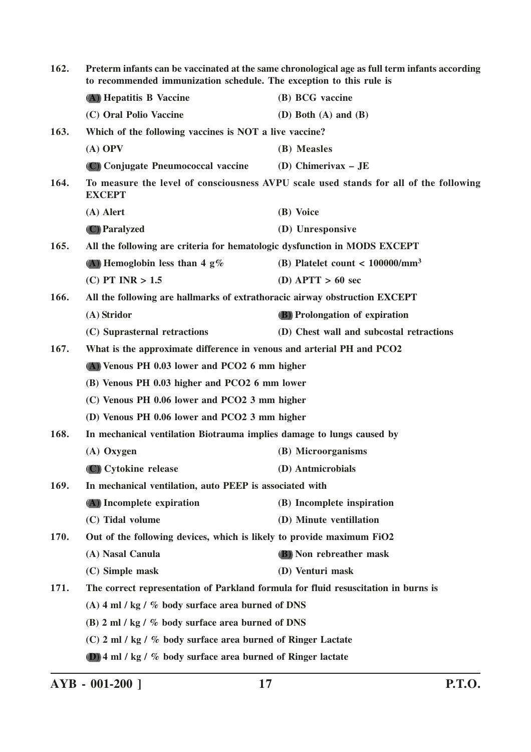| 162.                                                                                           | Preterm infants can be vaccinated at the same chronological age as full term infants according<br>to recommended immunization schedule. The exception to this rule is |                                               |
|------------------------------------------------------------------------------------------------|-----------------------------------------------------------------------------------------------------------------------------------------------------------------------|-----------------------------------------------|
|                                                                                                | (A) Hepatitis B Vaccine                                                                                                                                               | (B) BCG vaccine                               |
|                                                                                                | (C) Oral Polio Vaccine                                                                                                                                                | (D) Both $(A)$ and $(B)$                      |
| 163.                                                                                           | Which of the following vaccines is NOT a live vaccine?                                                                                                                |                                               |
|                                                                                                | $(A)$ OPV                                                                                                                                                             | (B) Measles                                   |
|                                                                                                | (C) Conjugate Pneumococcal vaccine                                                                                                                                    | (D) Chimerivax $-$ JE                         |
| 164.                                                                                           | To measure the level of consciousness AVPU scale used stands for all of the following<br><b>EXCEPT</b>                                                                |                                               |
|                                                                                                | $(A)$ Alert                                                                                                                                                           | (B) Voice                                     |
|                                                                                                | (C) Paralyzed                                                                                                                                                         | (D) Unresponsive                              |
| 165.                                                                                           | All the following are criteria for hematologic dysfunction in MODS EXCEPT                                                                                             |                                               |
|                                                                                                | (A) Hemoglobin less than 4 $g\%$                                                                                                                                      | (B) Platelet count $<$ 100000/mm <sup>3</sup> |
|                                                                                                | $(C)$ PT INR $> 1.5$                                                                                                                                                  | (D) APTT $> 60$ sec                           |
| 166.                                                                                           | All the following are hallmarks of extrathoracic airway obstruction EXCEPT                                                                                            |                                               |
|                                                                                                | (A) Stridor                                                                                                                                                           | <b>(B)</b> Prolongation of expiration         |
|                                                                                                | (C) Suprasternal retractions                                                                                                                                          | (D) Chest wall and subcostal retractions      |
| 167.                                                                                           | What is the approximate difference in venous and arterial PH and PCO2                                                                                                 |                                               |
|                                                                                                | (A) Venous PH 0.03 lower and PCO2 6 mm higher                                                                                                                         |                                               |
|                                                                                                | (B) Venous PH 0.03 higher and PCO2 6 mm lower                                                                                                                         |                                               |
| (C) Venous PH 0.06 lower and PCO2 3 mm higher<br>(D) Venous PH 0.06 lower and PCO2 3 mm higher |                                                                                                                                                                       |                                               |
|                                                                                                |                                                                                                                                                                       |                                               |
| 168.<br>In mechanical ventilation Biotrauma implies damage to lungs caused by                  |                                                                                                                                                                       |                                               |
|                                                                                                | $(A)$ Oxygen                                                                                                                                                          | (B) Microorganisms                            |
|                                                                                                | (C) Cytokine release                                                                                                                                                  | (D) Antmicrobials                             |
| 169.<br>In mechanical ventilation, auto PEEP is associated with                                |                                                                                                                                                                       |                                               |
|                                                                                                | (A) Incomplete expiration                                                                                                                                             | (B) Incomplete inspiration                    |
|                                                                                                | (C) Tidal volume                                                                                                                                                      | (D) Minute ventillation                       |
| 170.                                                                                           | Out of the following devices, which is likely to provide maximum FiO2                                                                                                 |                                               |
|                                                                                                | (A) Nasal Canula                                                                                                                                                      | (B) Non rebreather mask                       |
|                                                                                                | (C) Simple mask                                                                                                                                                       | (D) Venturi mask                              |
| 171.                                                                                           | The correct representation of Parkland formula for fluid resuscitation in burns is                                                                                    |                                               |
|                                                                                                | (A) 4 ml / kg / $%$ body surface area burned of DNS                                                                                                                   |                                               |
|                                                                                                | (B) 2 ml / kg / % body surface area burned of DNS                                                                                                                     |                                               |
|                                                                                                | (C) 2 ml / kg / % body surface area burned of Ringer Lactate                                                                                                          |                                               |
|                                                                                                | (D) 4 ml / kg / % body surface area burned of Ringer lactate                                                                                                          |                                               |

**AYB - 001-200 ] 17 P.T.O.**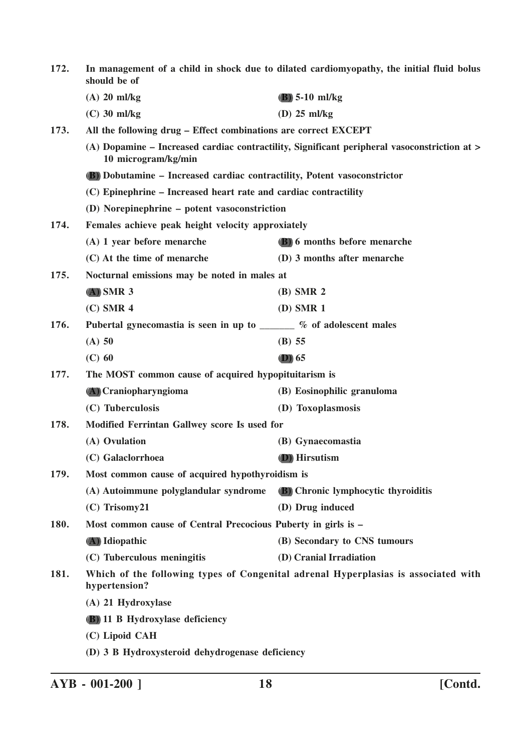| 172.                                                                  | In management of a child in shock due to dilated cardiomyopathy, the initial fluid bolus<br>should be of |                                                                                              |
|-----------------------------------------------------------------------|----------------------------------------------------------------------------------------------------------|----------------------------------------------------------------------------------------------|
|                                                                       | $(A)$ 20 ml/kg                                                                                           | $(B)$ 5-10 ml/kg                                                                             |
|                                                                       | $(C)$ 30 ml/kg                                                                                           | $(D)$ 25 ml/kg                                                                               |
| 173.                                                                  | All the following drug – Effect combinations are correct EXCEPT                                          |                                                                                              |
|                                                                       | 10 microgram/kg/min                                                                                      | (A) Dopamine – Increased cardiac contractility, Significant peripheral vasoconstriction at > |
|                                                                       | (B) Dobutamine - Increased cardiac contractility, Potent vasoconstrictor                                 |                                                                                              |
|                                                                       | (C) Epinephrine – Increased heart rate and cardiac contractility                                         |                                                                                              |
|                                                                       | (D) Norepinephrine - potent vasoconstriction                                                             |                                                                                              |
| 174.                                                                  | Females achieve peak height velocity approxiately                                                        |                                                                                              |
|                                                                       | (A) 1 year before menarche                                                                               | (B) 6 months before menarche                                                                 |
|                                                                       | (C) At the time of menarche                                                                              | (D) 3 months after menarche                                                                  |
| 175.<br>Nocturnal emissions may be noted in males at                  |                                                                                                          |                                                                                              |
|                                                                       | $(A)$ SMR 3                                                                                              | $(B)$ SMR 2                                                                                  |
|                                                                       | $(C)$ SMR 4                                                                                              | $(D)$ SMR 1                                                                                  |
| 176.                                                                  | Pubertal gynecomastia is seen in up to ______ % of adolescent males                                      |                                                                                              |
|                                                                       | $(A)$ 50                                                                                                 | $(B)$ 55                                                                                     |
|                                                                       | $(C)$ 60                                                                                                 | $(D)$ 65                                                                                     |
| 177.                                                                  | The MOST common cause of acquired hypopituitarism is                                                     |                                                                                              |
|                                                                       | (A) Craniopharyngioma                                                                                    | (B) Eosinophilic granuloma                                                                   |
|                                                                       | (C) Tuberculosis                                                                                         | (D) Toxoplasmosis                                                                            |
| 178.<br>Modified Ferrintan Gallwey score Is used for                  |                                                                                                          |                                                                                              |
|                                                                       | (A) Ovulation                                                                                            | (B) Gynaecomastia                                                                            |
|                                                                       | (C) Galaclorrhoea                                                                                        | (D) Hirsutism                                                                                |
| 179.                                                                  | Most common cause of acquired hypothyroidism is                                                          |                                                                                              |
|                                                                       | (A) Autoimmune polyglandular syndrome                                                                    | (B) Chronic lymphocytic thyroiditis                                                          |
|                                                                       | $(C)$ Trisomy21                                                                                          | (D) Drug induced                                                                             |
| Most common cause of Central Precocious Puberty in girls is -<br>180. |                                                                                                          |                                                                                              |
|                                                                       | (A) Idiopathic                                                                                           | (B) Secondary to CNS tumours                                                                 |
|                                                                       | (C) Tuberculous meningitis                                                                               | (D) Cranial Irradiation                                                                      |
| 181.                                                                  | hypertension?                                                                                            | Which of the following types of Congenital adrenal Hyperplasias is associated with           |
|                                                                       | (A) 21 Hydroxylase                                                                                       |                                                                                              |
|                                                                       | <b>(B)</b> 11 B Hydroxylase deficiency                                                                   |                                                                                              |
|                                                                       | (C) Lipoid CAH                                                                                           |                                                                                              |
|                                                                       | (D) 3 B Hydroxysteroid dehydrogenase deficiency                                                          |                                                                                              |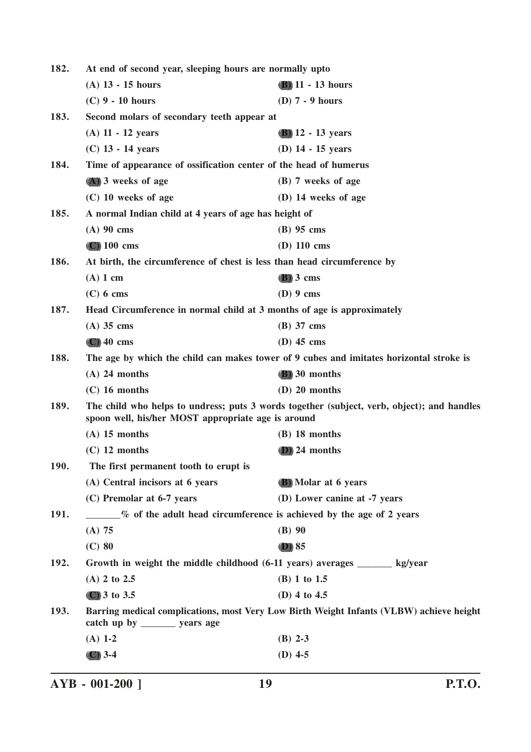| 182.        | At end of second year, sleeping hours are normally upto                                                                                          |                                                                                         |
|-------------|--------------------------------------------------------------------------------------------------------------------------------------------------|-----------------------------------------------------------------------------------------|
|             | $(A)$ 13 - 15 hours                                                                                                                              | $(B)$ 11 - 13 hours                                                                     |
|             | $(C)$ 9 - 10 hours                                                                                                                               | (D) $7 - 9$ hours                                                                       |
| 183.        | Second molars of secondary teeth appear at                                                                                                       |                                                                                         |
|             | $(A)$ 11 - 12 years                                                                                                                              | $(B)$ 12 - 13 years                                                                     |
|             | $(C)$ 13 - 14 years                                                                                                                              | $(D)$ 14 - 15 years                                                                     |
| 184.        | Time of appearance of ossification center of the head of humerus                                                                                 |                                                                                         |
|             | (A) 3 weeks of age                                                                                                                               | (B) 7 weeks of age                                                                      |
|             | $(C)$ 10 weeks of age                                                                                                                            | (D) 14 weeks of age                                                                     |
| 185.        | A normal Indian child at 4 years of age has height of                                                                                            |                                                                                         |
|             | $(A)$ 90 cms                                                                                                                                     | $(B)$ 95 cms                                                                            |
|             | $(C)$ 100 cms                                                                                                                                    | $(D)$ 110 cms                                                                           |
| 186.        | At birth, the circumference of chest is less than head circumference by                                                                          |                                                                                         |
|             | $(A)$ 1 cm                                                                                                                                       | $(B)$ 3 cms                                                                             |
|             | $(C)$ 6 cms                                                                                                                                      | $(D)$ 9 cms                                                                             |
| 187.        | Head Circumference in normal child at 3 months of age is approximately                                                                           |                                                                                         |
|             | $(A)$ 35 cms                                                                                                                                     | $(B)$ 37 cms                                                                            |
|             | $(C)$ 40 cms                                                                                                                                     | $(D)$ 45 cms                                                                            |
| 188.        |                                                                                                                                                  | The age by which the child can makes tower of 9 cubes and imitates horizontal stroke is |
|             | $(A)$ 24 months                                                                                                                                  | (B) 30 months                                                                           |
|             | $(C)$ 16 months                                                                                                                                  | $(D)$ 20 months                                                                         |
| 189.        | The child who helps to undress; puts 3 words together (subject, verb, object); and handles<br>spoon well, his/her MOST appropriate age is around |                                                                                         |
|             | $(A)$ 15 months                                                                                                                                  | $(B)$ 18 months                                                                         |
|             | $(C)$ 12 months                                                                                                                                  | $(D)$ 24 months                                                                         |
| <b>190.</b> | The first permanent tooth to erupt is                                                                                                            |                                                                                         |
|             | (A) Central incisors at 6 years                                                                                                                  | (B) Molar at 6 years                                                                    |
|             | (C) Premolar at 6-7 years                                                                                                                        | (D) Lower canine at -7 years                                                            |
| 191.        | <b>Example 2</b> of the adult head circumference is achieved by the age of 2 years                                                               |                                                                                         |
|             | (A) 75                                                                                                                                           | $(B)$ 90                                                                                |
|             | $(C)$ 80                                                                                                                                         | $(D)$ 85                                                                                |
| 192.        | Growth in weight the middle childhood (6-11 years) averages _______ kg/year                                                                      |                                                                                         |
|             | $(A)$ 2 to 2.5                                                                                                                                   | (B) 1 to 1.5                                                                            |
|             | (C) 3 to 3.5                                                                                                                                     | (D) 4 to 4.5                                                                            |
| 193.        | catch up by $\frac{ }{ }$ years age                                                                                                              | Barring medical complications, most Very Low Birth Weight Infants (VLBW) achieve height |
|             | $(A)$ 1-2                                                                                                                                        | $(B)$ 2-3                                                                               |
|             | $(C)$ 3-4                                                                                                                                        | $(D)$ 4-5                                                                               |
|             |                                                                                                                                                  |                                                                                         |